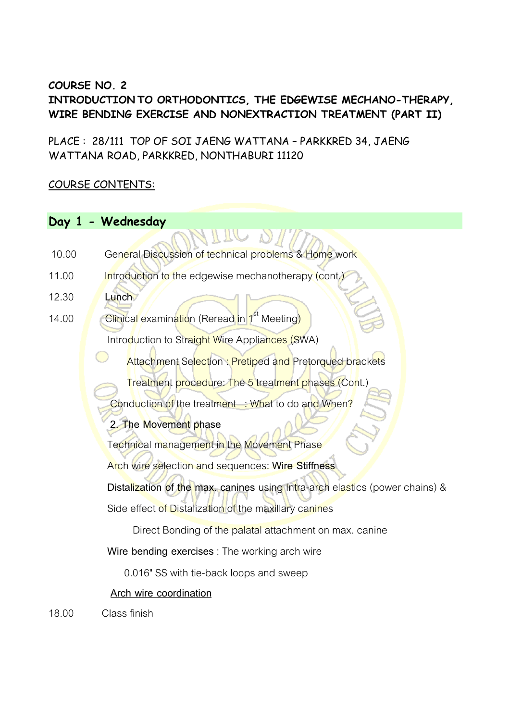## **COURSE NO. 2**

## **INTRODUCTION TO ORTHODONTICS, THE EDGEWISE MECHANO-THERAPY, WIRE BENDING EXERCISE AND NONEXTRACTION TREATMENT (PART II)**

PLACE : 28/111 TOP OF SOI JAENG WATTANA – PARKKRED 34, JAENG WATTANA ROAD, PARKKRED, NONTHABURI 11120

## COURSE CONTENTS:

## **Day 1 - Wednesday**

| 10.00 | General Discussion of technical problems & Home work                         |
|-------|------------------------------------------------------------------------------|
| 11.00 | Introduction to the edgewise mechanotherapy (cont.)                          |
| 12.30 | Lunch                                                                        |
| 14.00 | Clinical examination (Reread in 1 <sup>st</sup> Meeting <mark>)</mark>       |
|       | Introduction to Straight Wire Appliances (SWA)                               |
|       | Attachment Selection: Pretiped and Pretorqued brackets                       |
|       | Treatment procedure: The 5 treatment phases (Cont.)                          |
|       | Conduction of the treatment : What to do and When?                           |
|       | 2. The Movement phase                                                        |
|       | Technical management in the Movement Phase                                   |
|       | Arch wire selection and sequences: Wire Stiffness                            |
|       | Distalization of the max, canines using Intra-arch elastics (power chains) & |
|       | Side effect of Distalization of the maxillary canines                        |
|       | Direct Bonding of the palatal attachment on max. canine                      |
|       | Wire bending exercises : The working arch wire                               |
|       | 0.016" SS with tie-back loops and sweep                                      |
|       | <b>Arch wire coordination</b>                                                |
| 18.00 | Class finish                                                                 |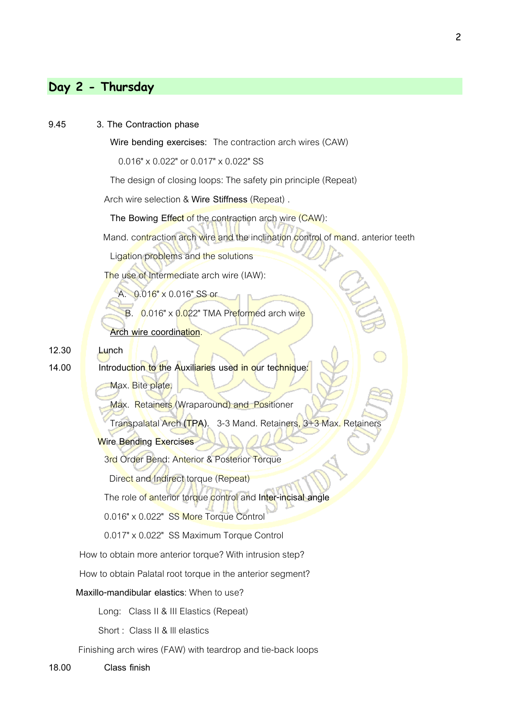## **Day 2 - Thursday**

| 9.45  | 3. The Contraction phase                                                        |
|-------|---------------------------------------------------------------------------------|
|       | Wire bending exercises: The contraction arch wires (CAW)                        |
|       | 0.016" x 0.022" or 0.017" x 0.022" SS                                           |
|       | The design of closing loops: The safety pin principle (Repeat)                  |
|       | Arch wire selection & Wire Stiffness (Repeat).                                  |
|       | The Bowing Effect of the contraction arch wire (CAW):                           |
|       | Mand. contraction arch wire and the inclination control of mand. anterior teeth |
|       | Ligation problems and the solutions                                             |
|       | The use of Intermediate arch wire (IAW):                                        |
|       | 0.016" x 0.016" SS or<br>А.                                                     |
|       | 0.016" x 0.022" TMA Preformed arch wire<br>В.                                   |
|       | Arch wire coordination.                                                         |
| 12.30 | Lunch                                                                           |
| 14.00 | Introduction to the Auxiliaries used in our technique:                          |
|       | Max. Bite plate.                                                                |
|       | Max. Retainers (Wraparound) and Positioner                                      |
|       | Transpalatal Arch (TPA). 3-3 Mand. Retainers <mark>, 3+3 Max. Reta</mark> iners |
|       | <b>Wire Bending Exercises</b>                                                   |
|       | 3rd Order Bend: Anterior & Posterior Torque                                     |
|       | Direct and Indirect torque (Repeat)                                             |
|       | The role of anterior torque control and Inter-incisal angle                     |
|       | 0.016" x 0.022" SS More Torque Control                                          |
|       | 0.017" x 0.022" SS Maximum Torque Control                                       |
|       | How to obtain more anterior torque? With intrusion step?                        |
|       | How to obtain Palatal root torque in the anterior segment?                      |
|       | Maxillo-mandibular elastics: When to use?                                       |
|       | Long: Class II & III Elastics (Repeat)                                          |
|       | Short: Class II & III elastics                                                  |
|       | Finishing arch wires (FAW) with teardrop and tie-back loops                     |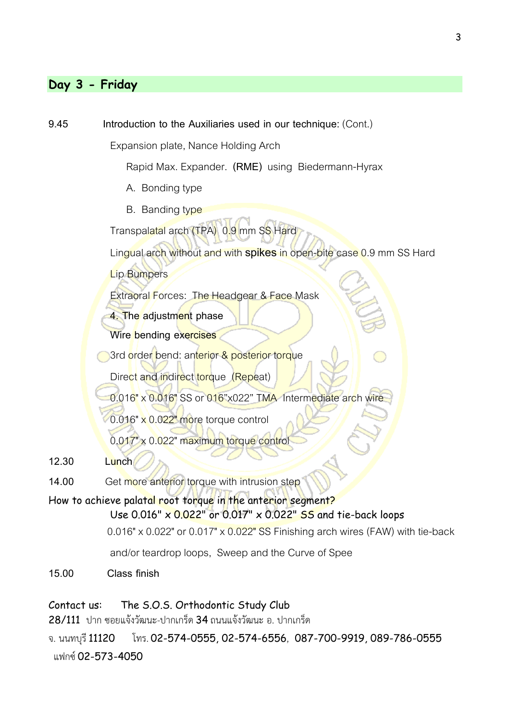## **Day 3 - Friday**

# **9.45 Introduction to the Auxiliaries used in our technique:** (Cont.) Expansion plate, Nance Holding Arch Rapid Max. Expander. **(RME)** using Biedermann-Hyrax A. Bonding type B. Banding type Transpalatal arch (TPA) 0.9 mm SS Hard Lingual arch without and with **spikes**in open-bite case 0.9 mm SS Hard Lip Bumpers Extraoral Forces: The Headgear & Face Mask **4. The adjustment phase Wire bending exercises** 3rd order bend: anterior & posterior torque Direct and indirect torque (Repeat) 0.016" x 0.016" SS or 016"x022" TMA Intermediate arch wire 0.016" x 0.022" more torque control 0.017" x 0.022" maximum torque control **12.30 Lunch 14.00** Get more anterior torque with intrusion step How to achieve palatal root torque in the anterior segment? Use 0.016" x 0.022" or 0.017" x 0.022" SS and tie-back loops  $0.016"$  x  $0.022"$  or  $0.017"$  x  $0.022"$  SS Finishing arch wires (FAW) with tie-back and/or teardrop loops, Sweep and the Curve of Spee **15.00 Class finish** Contact us: The S.O.S. Orthodontic Study Club 28/111 ปาก ซอยแจงวัฒนะ-ปากเกร็ด 34 ถนนแจงวัฒนะ อ. ปากเกร็ด

จ. นนทบุรี11120 โทร. 02-574-0555, 02-574-6556, 087-700-9919, 089-786-0555 ีแฟกซ์ 02-573-4050